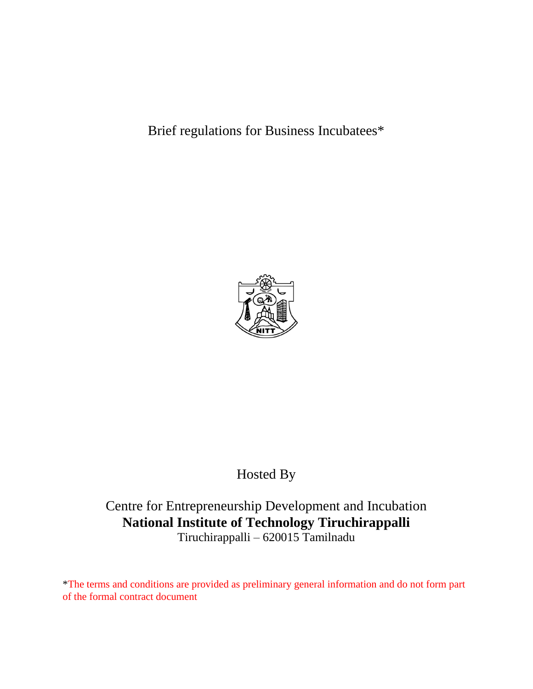Brief regulations for Business Incubatees\*



# Hosted By

## Centre for Entrepreneurship Development and Incubation **National Institute of Technology Tiruchirappalli** Tiruchirappalli – 620015 Tamilnadu

\*The terms and conditions are provided as preliminary general information and do not form part of the formal contract document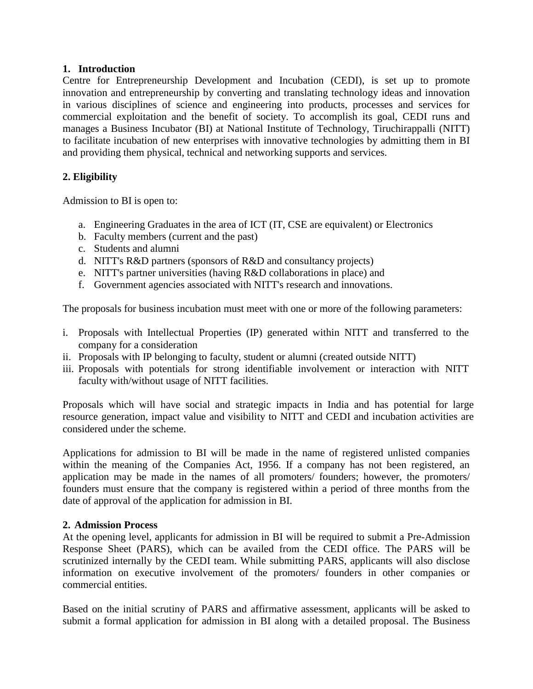#### **1. Introduction**

Centre for Entrepreneurship Development and Incubation (CEDI), is set up to promote innovation and entrepreneurship by converting and translating technology ideas and innovation in various disciplines of science and engineering into products, processes and services for commercial exploitation and the benefit of society. To accomplish its goal, CEDI runs and manages a Business Incubator (BI) at National Institute of Technology, Tiruchirappalli (NITT) to facilitate incubation of new enterprises with innovative technologies by admitting them in BI and providing them physical, technical and networking supports and services.

## **2. Eligibility**

Admission to BI is open to:

- a. Engineering Graduates in the area of ICT (IT, CSE are equivalent) or Electronics
- b. Faculty members (current and the past)
- c. Students and alumni
- d. NITT's R&D partners (sponsors of R&D and consultancy projects)
- e. NITT's partner universities (having R&D collaborations in place) and
- f. Government agencies associated with NITT's research and innovations.

The proposals for business incubation must meet with one or more of the following parameters:

- i. Proposals with Intellectual Properties (IP) generated within NITT and transferred to the company for a consideration
- ii. Proposals with IP belonging to faculty, student or alumni (created outside NITT)
- iii. Proposals with potentials for strong identifiable involvement or interaction with NITT faculty with/without usage of NITT facilities.

Proposals which will have social and strategic impacts in India and has potential for large resource generation, impact value and visibility to NITT and CEDI and incubation activities are considered under the scheme.

Applications for admission to BI will be made in the name of registered unlisted companies within the meaning of the Companies Act, 1956. If a company has not been registered, an application may be made in the names of all promoters/ founders; however, the promoters/ founders must ensure that the company is registered within a period of three months from the date of approval of the application for admission in BI.

#### **2. Admission Process**

At the opening level, applicants for admission in BI will be required to submit a Pre-Admission Response Sheet (PARS), which can be availed from the CEDI office. The PARS will be scrutinized internally by the CEDI team. While submitting PARS, applicants will also disclose information on executive involvement of the promoters/ founders in other companies or commercial entities.

Based on the initial scrutiny of PARS and affirmative assessment, applicants will be asked to submit a formal application for admission in BI along with a detailed proposal. The Business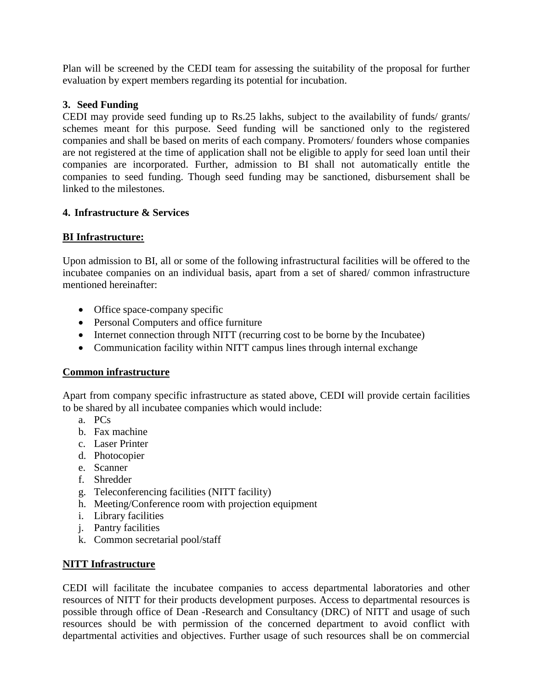Plan will be screened by the CEDI team for assessing the suitability of the proposal for further evaluation by expert members regarding its potential for incubation.

## **3. Seed Funding**

CEDI may provide seed funding up to Rs.25 lakhs, subject to the availability of funds/ grants/ schemes meant for this purpose. Seed funding will be sanctioned only to the registered companies and shall be based on merits of each company. Promoters/ founders whose companies are not registered at the time of application shall not be eligible to apply for seed loan until their companies are incorporated. Further, admission to BI shall not automatically entitle the companies to seed funding. Though seed funding may be sanctioned, disbursement shall be linked to the milestones.

## **4. Infrastructure & Services**

## **BI Infrastructure:**

Upon admission to BI, all or some of the following infrastructural facilities will be offered to the incubatee companies on an individual basis, apart from a set of shared/ common infrastructure mentioned hereinafter:

- Office space-company specific
- Personal Computers and office furniture
- Internet connection through NITT (recurring cost to be borne by the Incubatee)
- Communication facility within NITT campus lines through internal exchange

#### **Common infrastructure**

Apart from company specific infrastructure as stated above, CEDI will provide certain facilities to be shared by all incubatee companies which would include:

- a. PCs
- b. Fax machine
- c. Laser Printer
- d. Photocopier
- e. Scanner
- f. Shredder
- g. Teleconferencing facilities (NITT facility)
- h. Meeting/Conference room with projection equipment
- i. Library facilities
- j. Pantry facilities
- k. Common secretarial pool/staff

#### **NITT Infrastructure**

CEDI will facilitate the incubatee companies to access departmental laboratories and other resources of NITT for their products development purposes. Access to departmental resources is possible through office of Dean -Research and Consultancy (DRC) of NITT and usage of such resources should be with permission of the concerned department to avoid conflict with departmental activities and objectives. Further usage of such resources shall be on commercial